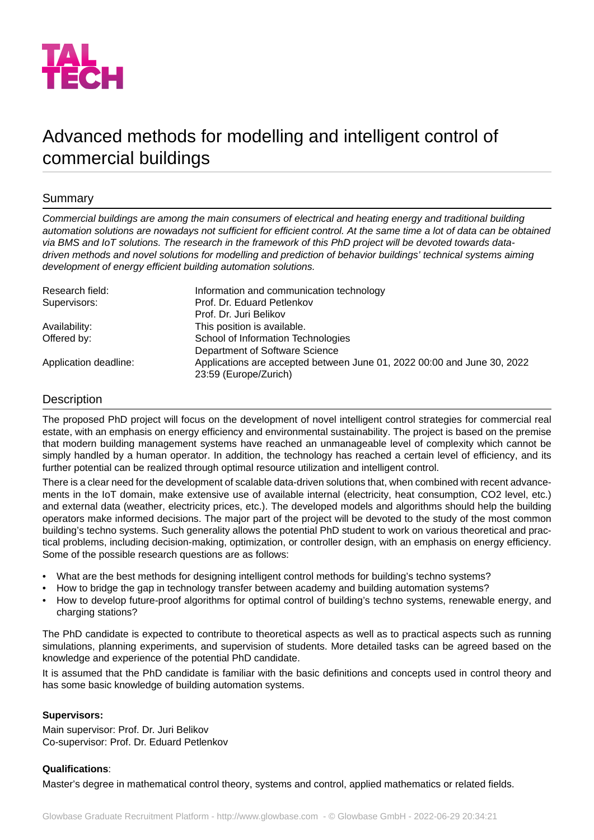

# Advanced methods for modelling and intelligent control of commercial buildings

## Summary

*Commercial buildings are among the main consumers of electrical and heating energy and traditional building automation solutions are nowadays not sufficient for efficient control. At the same time a lot of data can be obtained via BMS and IoT solutions. The research in the framework of this PhD project will be devoted towards datadriven methods and novel solutions for modelling and prediction of behavior buildings' technical systems aiming development of energy efficient building automation solutions.*

| Research field:       | Information and communication technology                                                         |
|-----------------------|--------------------------------------------------------------------------------------------------|
| Supervisors:          | Prof. Dr. Eduard Petlenkov                                                                       |
|                       | Prof. Dr. Juri Belikov                                                                           |
| Availability:         | This position is available.                                                                      |
| Offered by:           | School of Information Technologies                                                               |
|                       | Department of Software Science                                                                   |
| Application deadline: | Applications are accepted between June 01, 2022 00:00 and June 30, 2022<br>23:59 (Europe/Zurich) |

### **Description**

The proposed PhD project will focus on the development of novel intelligent control strategies for commercial real estate, with an emphasis on energy efficiency and environmental sustainability. The project is based on the premise that modern building management systems have reached an unmanageable level of complexity which cannot be simply handled by a human operator. In addition, the technology has reached a certain level of efficiency, and its further potential can be realized through optimal resource utilization and intelligent control.

There is a clear need for the development of scalable data-driven solutions that, when combined with recent advancements in the IoT domain, make extensive use of available internal (electricity, heat consumption, CO2 level, etc.) and external data (weather, electricity prices, etc.). The developed models and algorithms should help the building operators make informed decisions. The major part of the project will be devoted to the study of the most common building's techno systems. Such generality allows the potential PhD student to work on various theoretical and practical problems, including decision-making, optimization, or controller design, with an emphasis on energy efficiency. Some of the possible research questions are as follows:

- What are the best methods for designing intelligent control methods for building's techno systems?
- How to bridge the gap in technology transfer between academy and building automation systems?
- How to develop future-proof algorithms for optimal control of building's techno systems, renewable energy, and charging stations?

The PhD candidate is expected to contribute to theoretical aspects as well as to practical aspects such as running simulations, planning experiments, and supervision of students. More detailed tasks can be agreed based on the knowledge and experience of the potential PhD candidate.

It is assumed that the PhD candidate is familiar with the basic definitions and concepts used in control theory and has some basic knowledge of building automation systems.

#### **Supervisors:**

Main supervisor: Prof. Dr. Juri Belikov Co-supervisor: Prof. Dr. Eduard Petlenkov

#### **Qualifications**:

Master's degree in mathematical control theory, systems and control, applied mathematics or related fields.